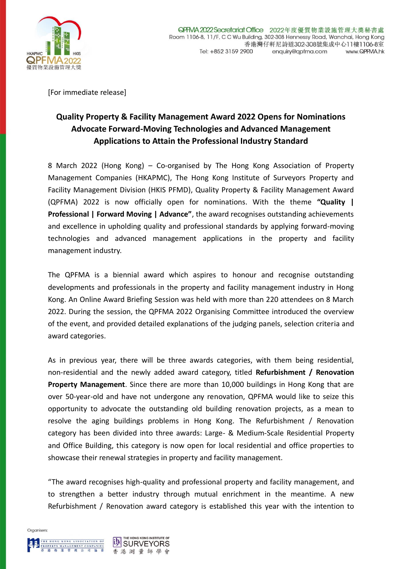

[For immediate release]

# **Quality Property & Facility Management Award 2022 Opens for Nominations Advocate Forward-Moving Technologies and Advanced Management Applications to Attain the Professional Industry Standard**

8 March 2022 (Hong Kong) – Co-organised by The Hong Kong Association of Property Management Companies (HKAPMC), The Hong Kong Institute of Surveyors Property and Facility Management Division (HKIS PFMD), Quality Property & Facility Management Award (QPFMA) 2022 is now officially open for nominations. With the theme **"Quality | Professional | Forward Moving | Advance"**, the award recognises outstanding achievements and excellence in upholding quality and professional standards by applying forward-moving technologies and advanced management applications in the property and facility management industry.

The QPFMA is a biennial award which aspires to honour and recognise outstanding developments and professionals in the property and facility management industry in Hong Kong. An Online Award Briefing Session was held with more than 220 attendees on 8 March 2022. During the session, the QPFMA 2022 Organising Committee introduced the overview of the event, and provided detailed explanations of the judging panels, selection criteria and award categories.

As in previous year, there will be three awards categories, with them being residential, non-residential and the newly added award category, titled **Refurbishment / Renovation Property Management**. Since there are more than 10,000 buildings in Hong Kong that are over 50-year-old and have not undergone any renovation, QPFMA would like to seize this opportunity to advocate the outstanding old building renovation projects, as a mean to resolve the aging buildings problems in Hong Kong. The Refurbishment / Renovation category has been divided into three awards: Large- & Medium-Scale Residential Property and Office Building, this category is now open for local residential and office properties to showcase their renewal strategies in property and facility management.

"The award recognises high-quality and professional property and facility management, and to strengthen a better industry through mutual enrichment in the meantime. A new Refurbishment / Renovation award category is established this year with the intention to

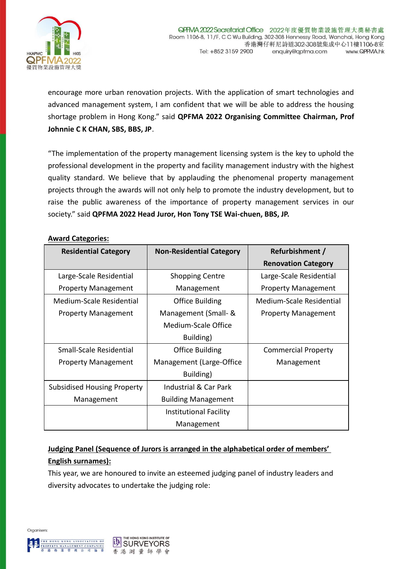

encourage more urban renovation projects. With the application of smart technologies and advanced management system, I am confident that we will be able to address the housing shortage problem in Hong Kong." said **QPFMA 2022 Organising Committee Chairman, Prof Johnnie C K CHAN, SBS, BBS, JP**.

"The implementation of the property management licensing system is the key to uphold the professional development in the property and facility management industry with the highest quality standard. We believe that by applauding the phenomenal property management projects through the awards will not only help to promote the industry development, but to raise the public awareness of the importance of property management services in our society." said **QPFMA 2022 Head Juror, Hon Tony TSE Wai-chuen, BBS, JP.**

#### **Award Categories:**

| <b>Residential Category</b>        | <b>Non-Residential Category</b> | Refurbishment /            |
|------------------------------------|---------------------------------|----------------------------|
|                                    |                                 | <b>Renovation Category</b> |
| Large-Scale Residential            | <b>Shopping Centre</b>          | Large-Scale Residential    |
| <b>Property Management</b>         | Management                      | <b>Property Management</b> |
| Medium-Scale Residential           | Office Building                 | Medium-Scale Residential   |
| <b>Property Management</b>         | Management (Small- &            | <b>Property Management</b> |
|                                    | Medium-Scale Office             |                            |
|                                    | Building)                       |                            |
| Small-Scale Residential            | <b>Office Building</b>          | <b>Commercial Property</b> |
| <b>Property Management</b>         | Management (Large-Office        | Management                 |
|                                    | Building)                       |                            |
| <b>Subsidised Housing Property</b> | Industrial & Car Park           |                            |
| Management                         | <b>Building Management</b>      |                            |
|                                    | <b>Institutional Facility</b>   |                            |
|                                    | Management                      |                            |

## **Judging Panel (Sequence of Jurors is arranged in the alphabetical order of members' English surnames):**

This year, we are honoured to invite an esteemed judging panel of industry leaders and diversity advocates to undertake the judging role:

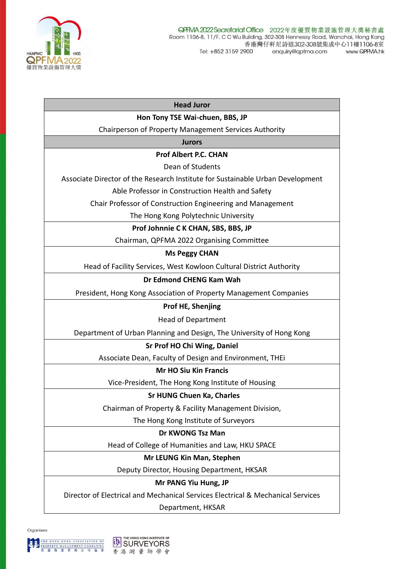

| <b>Head Juror</b>                                                               |  |  |
|---------------------------------------------------------------------------------|--|--|
| Hon Tony TSE Wai-chuen, BBS, JP                                                 |  |  |
| Chairperson of Property Management Services Authority                           |  |  |
| <b>Jurors</b>                                                                   |  |  |
| <b>Prof Albert P.C. CHAN</b>                                                    |  |  |
| Dean of Students                                                                |  |  |
| Associate Director of the Research Institute for Sustainable Urban Development  |  |  |
| Able Professor in Construction Health and Safety                                |  |  |
| Chair Professor of Construction Engineering and Management                      |  |  |
| The Hong Kong Polytechnic University                                            |  |  |
| Prof Johnnie C K CHAN, SBS, BBS, JP                                             |  |  |
| Chairman, QPFMA 2022 Organising Committee                                       |  |  |
| <b>Ms Peggy CHAN</b>                                                            |  |  |
| Head of Facility Services, West Kowloon Cultural District Authority             |  |  |
| Dr Edmond CHENG Kam Wah                                                         |  |  |
| President, Hong Kong Association of Property Management Companies               |  |  |
| Prof HE, Shenjing                                                               |  |  |
| <b>Head of Department</b>                                                       |  |  |
| Department of Urban Planning and Design, The University of Hong Kong            |  |  |
| Sr Prof HO Chi Wing, Daniel                                                     |  |  |
| Associate Dean, Faculty of Design and Environment, THEi                         |  |  |
| <b>Mr HO Siu Kin Francis</b>                                                    |  |  |
| Vice-President, The Hong Kong Institute of Housing                              |  |  |
| <b>Sr HUNG Chuen Ka, Charles</b>                                                |  |  |
| Chairman of Property & Facility Management Division,                            |  |  |
| The Hong Kong Institute of Surveyors                                            |  |  |
| Dr KWONG Tsz Man                                                                |  |  |
| Head of College of Humanities and Law, HKU SPACE                                |  |  |
| Mr LEUNG Kin Man, Stephen                                                       |  |  |
| Deputy Director, Housing Department, HKSAR                                      |  |  |
| Mr PANG Yiu Hung, JP                                                            |  |  |
| Director of Electrical and Mechanical Services Electrical & Mechanical Services |  |  |
| Department, HKSAR                                                               |  |  |
|                                                                                 |  |  |

Organisers: **THE HONG KONG ASSOCIATION OF**<br>**PROPERTY MANAGEMENT COMPANIES**<br>香港 物 業 管 理 公 司 協 會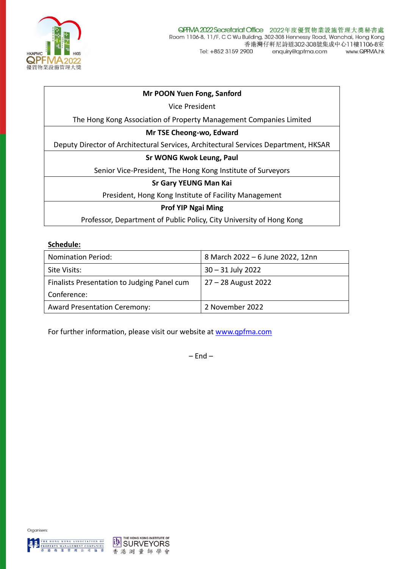

#### **Mr POON Yuen Fong, Sanford**

Vice President

The Hong Kong Association of Property Management Companies Limited

#### **Mr TSE Cheong-wo, Edward**

Deputy Director of Architectural Services, Architectural Services Department, HKSAR

#### **Sr WONG Kwok Leung, Paul**

Senior Vice-President, The Hong Kong Institute of Surveyors

#### **Sr Gary YEUNG Man Kai**

President, Hong Kong Institute of Facility Management

#### **Prof YIP Ngai Ming**

Professor, Department of Public Policy, City University of Hong Kong

#### **Schedule:**

| <b>Nomination Period:</b>                   | 8 March 2022 - 6 June 2022, 12nn |
|---------------------------------------------|----------------------------------|
| Site Visits:                                | $30 - 31$ July 2022              |
| Finalists Presentation to Judging Panel cum | 27 – 28 August 2022              |
| Conference:                                 |                                  |
| <b>Award Presentation Ceremony:</b>         | 2 November 2022                  |

For further information, please visit our website at [www.qpfma.com](http://www.qpfma.com/)

 $-$  End  $-$ 



Organisers: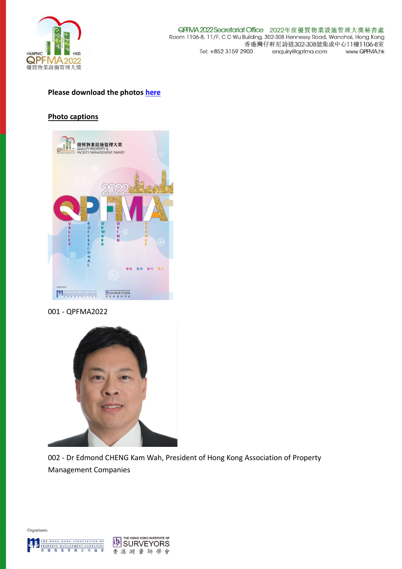

### **Please download the photos [here](https://drive.google.com/drive/folders/1GEb0MOEJZuhhEzQbNOYH04hq6-gZWtBF?usp=sharing)**

#### **Photo captions**



001 - QPFMA2022



002 - Dr Edmond CHENG Kam Wah, President of Hong Kong Association of Property Management Companies



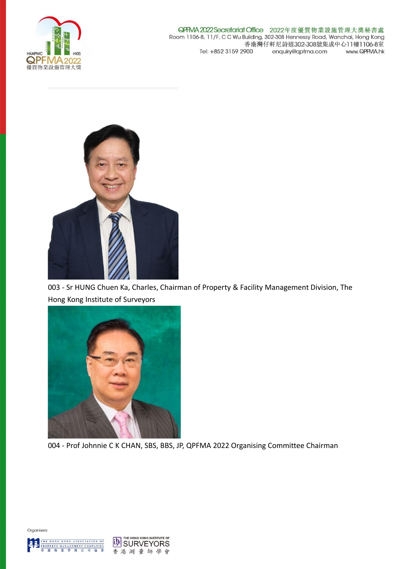

QPRVA 2022 Secretariat Office 2022年度優質物業設施管理大獎秘書處 Room 1106-8, 11/F, C C Wu Building, 302-308 Hennessy Road, Wanchai, Hong Kong 香港灣仔軒尼詩道302-308號集成中心11樓1106-8室 Tel: +852 3159 2900 enquiry@qpfma.com www.QPFMA.hk



003 - Sr HUNG Chuen Ka, Charles, Chairman of Property & Facility Management Division, The Hong Kong Institute of Surveyors



004 - Prof Johnnie C K CHAN, SBS, BBS, JP, QPFMA 2022 Organising Committee Chairman



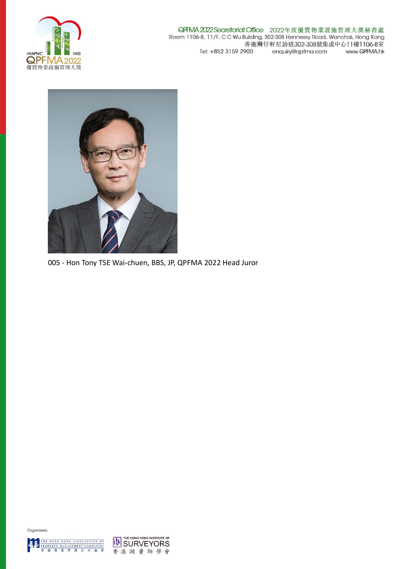

**QPFMA 2022 Secretariat Office** 2022年度優質物業設施管理大獎秘書處<br>Room 1106-8, 11/F, C C Wu Building, 302-308 Hennessy Road, Wanchai, Hong Kong 香港灣仔軒尼詩道302-308號集成中心11樓1106-8室 Tel: +852 3159 2900 enquiry@qpfma.com www.QPFMA.hk



005 - Hon Tony TSE Wai-chuen, BBS, JP, QPFMA 2022 Head Juror

![](_page_6_Picture_4.jpeg)

![](_page_6_Picture_5.jpeg)

![](_page_6_Picture_6.jpeg)